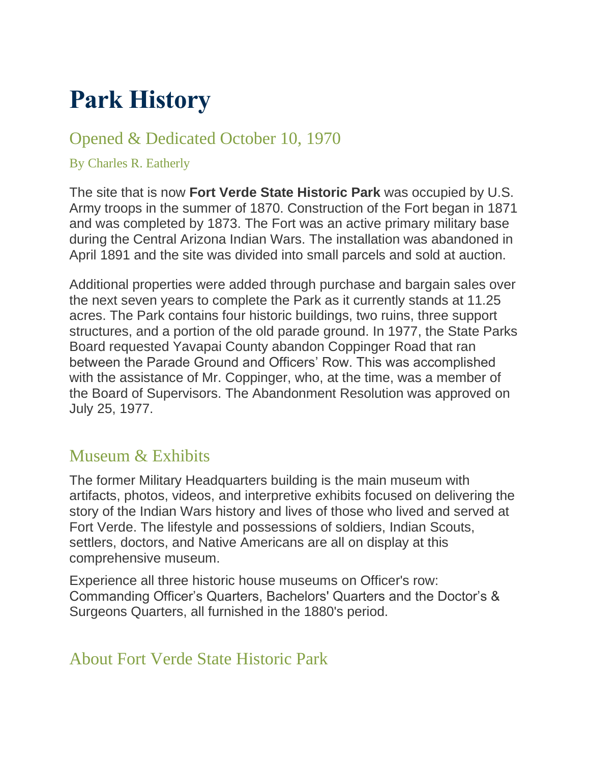# **Park History**

# Opened & Dedicated October 10, 1970

#### By Charles R. Eatherly

The site that is now **Fort Verde State Historic Park** was occupied by U.S. Army troops in the summer of 1870. Construction of the Fort began in 1871 and was completed by 1873. The Fort was an active primary military base during the Central Arizona Indian Wars. The installation was abandoned in April 1891 and the site was divided into small parcels and sold at auction.

Additional properties were added through purchase and bargain sales over the next seven years to complete the Park as it currently stands at 11.25 acres. The Park contains four historic buildings, two ruins, three support structures, and a portion of the old parade ground. In 1977, the State Parks Board requested Yavapai County abandon Coppinger Road that ran between the Parade Ground and Officers' Row. This was accomplished with the assistance of Mr. Coppinger, who, at the time, was a member of the Board of Supervisors. The Abandonment Resolution was approved on July 25, 1977.

# Museum & Exhibits

The former Military Headquarters building is the main museum with artifacts, photos, videos, and interpretive exhibits focused on delivering the story of the Indian Wars history and lives of those who lived and served at Fort Verde. The lifestyle and possessions of soldiers, Indian Scouts, settlers, doctors, and Native Americans are all on display at this comprehensive museum.

Experience all three historic house museums on Officer's row: Commanding Officer's Quarters, Bachelors' Quarters and the Doctor's & Surgeons Quarters, all furnished in the 1880's period.

# About Fort Verde State Historic Park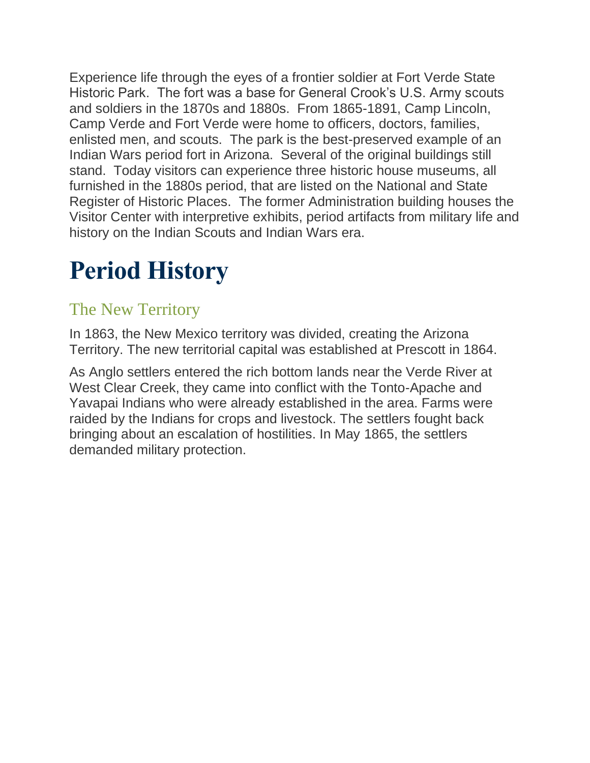Experience life through the eyes of a frontier soldier at Fort Verde State Historic Park. The fort was a base for General Crook's U.S. Army scouts and soldiers in the 1870s and 1880s. From 1865-1891, Camp Lincoln, Camp Verde and Fort Verde were home to officers, doctors, families, enlisted men, and scouts. The park is the best-preserved example of an Indian Wars period fort in Arizona. Several of the original buildings still stand. Today visitors can experience three historic house museums, all furnished in the 1880s period, that are listed on the National and State Register of Historic Places. The former Administration building houses the Visitor Center with interpretive exhibits, period artifacts from military life and history on the Indian Scouts and Indian Wars era.

# **Period History**

# The New Territory

In 1863, the New Mexico territory was divided, creating the Arizona Territory. The new territorial capital was established at Prescott in 1864.

As Anglo settlers entered the rich bottom lands near the Verde River at West Clear Creek, they came into conflict with the Tonto-Apache and Yavapai Indians who were already established in the area. Farms were raided by the Indians for crops and livestock. The settlers fought back bringing about an escalation of hostilities. In May 1865, the settlers demanded military protection.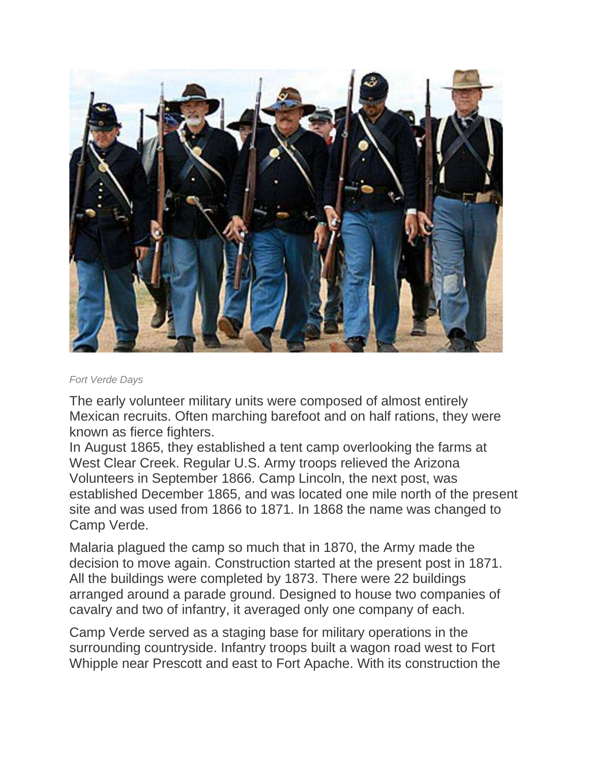

#### *Fort Verde Days*

The early volunteer military units were composed of almost entirely Mexican recruits. Often marching barefoot and on half rations, they were known as fierce fighters.

In August 1865, they established a tent camp overlooking the farms at West Clear Creek. Regular U.S. Army troops relieved the Arizona Volunteers in September 1866. Camp Lincoln, the next post, was established December 1865, and was located one mile north of the present site and was used from 1866 to 1871. In 1868 the name was changed to Camp Verde.

Malaria plagued the camp so much that in 1870, the Army made the decision to move again. Construction started at the present post in 1871. All the buildings were completed by 1873. There were 22 buildings arranged around a parade ground. Designed to house two companies of cavalry and two of infantry, it averaged only one company of each.

Camp Verde served as a staging base for military operations in the surrounding countryside. Infantry troops built a wagon road west to Fort Whipple near Prescott and east to Fort Apache. With its construction the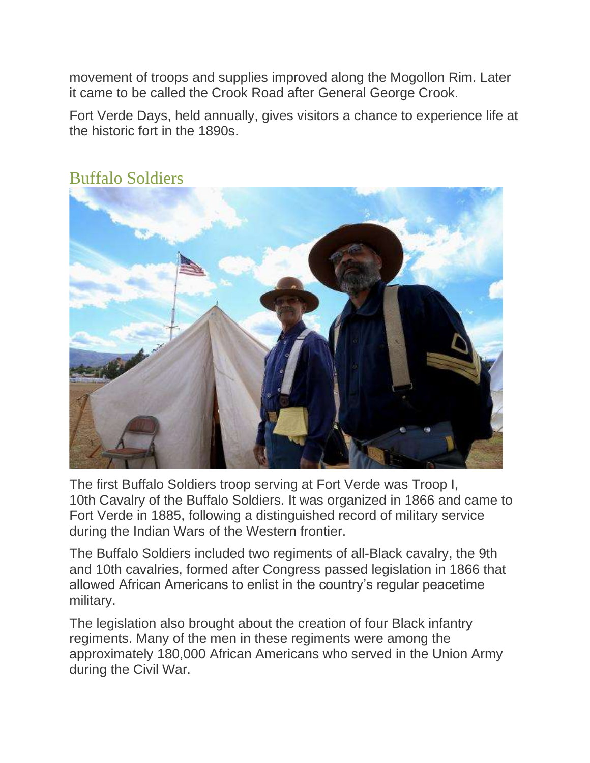movement of troops and supplies improved along the Mogollon Rim. Later it came to be called the Crook Road after General George Crook.

Fort Verde Days, held annually, gives visitors a chance to experience life at the historic fort in the 1890s.



#### Buffalo Soldiers

The first Buffalo Soldiers troop serving at Fort Verde was Troop I, 10th Cavalry of the Buffalo Soldiers. It was organized in 1866 and came to Fort Verde in 1885, following a distinguished record of military service during the Indian Wars of the Western frontier.

The Buffalo Soldiers included two regiments of all-Black cavalry, the 9th and 10th cavalries, formed after Congress passed legislation in 1866 that allowed African Americans to enlist in the country's regular peacetime military.

The legislation also brought about the creation of four Black infantry regiments. Many of the men in these regiments were among the approximately 180,000 African Americans who served in the Union Army during the Civil War.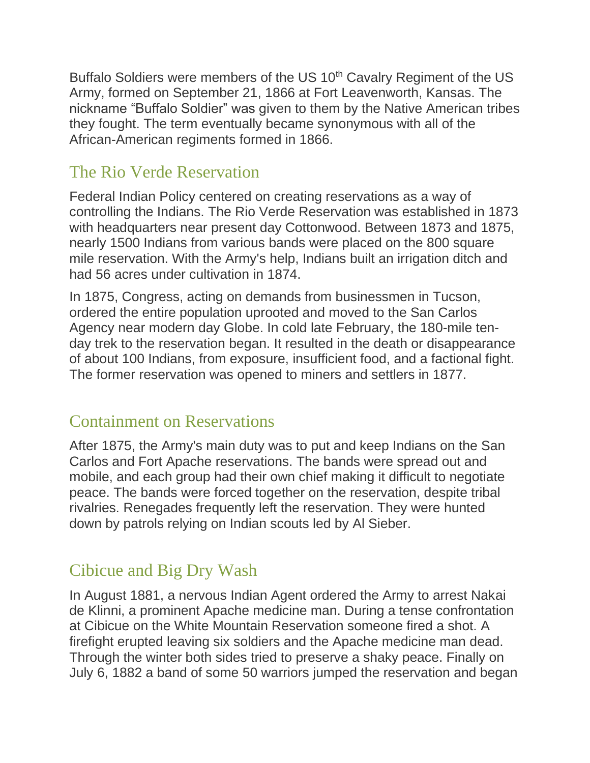Buffalo Soldiers were members of the US 10<sup>th</sup> Cavalry Regiment of the US Army, formed on September 21, 1866 at Fort Leavenworth, Kansas. The nickname "Buffalo Soldier" was given to them by the Native American tribes they fought. The term eventually became synonymous with all of the African-American regiments formed in 1866.

# The Rio Verde Reservation

Federal Indian Policy centered on creating reservations as a way of controlling the Indians. The Rio Verde Reservation was established in 1873 with headquarters near present day Cottonwood. Between 1873 and 1875, nearly 1500 Indians from various bands were placed on the 800 square mile reservation. With the Army's help, Indians built an irrigation ditch and had 56 acres under cultivation in 1874.

In 1875, Congress, acting on demands from businessmen in Tucson, ordered the entire population uprooted and moved to the San Carlos Agency near modern day Globe. In cold late February, the 180-mile tenday trek to the reservation began. It resulted in the death or disappearance of about 100 Indians, from exposure, insufficient food, and a factional fight. The former reservation was opened to miners and settlers in 1877.

# Containment on Reservations

After 1875, the Army's main duty was to put and keep Indians on the San Carlos and Fort Apache reservations. The bands were spread out and mobile, and each group had their own chief making it difficult to negotiate peace. The bands were forced together on the reservation, despite tribal rivalries. Renegades frequently left the reservation. They were hunted down by patrols relying on Indian scouts led by Al Sieber.

# Cibicue and Big Dry Wash

In August 1881, a nervous Indian Agent ordered the Army to arrest Nakai de Klinni, a prominent Apache medicine man. During a tense confrontation at Cibicue on the White Mountain Reservation someone fired a shot. A firefight erupted leaving six soldiers and the Apache medicine man dead. Through the winter both sides tried to preserve a shaky peace. Finally on July 6, 1882 a band of some 50 warriors jumped the reservation and began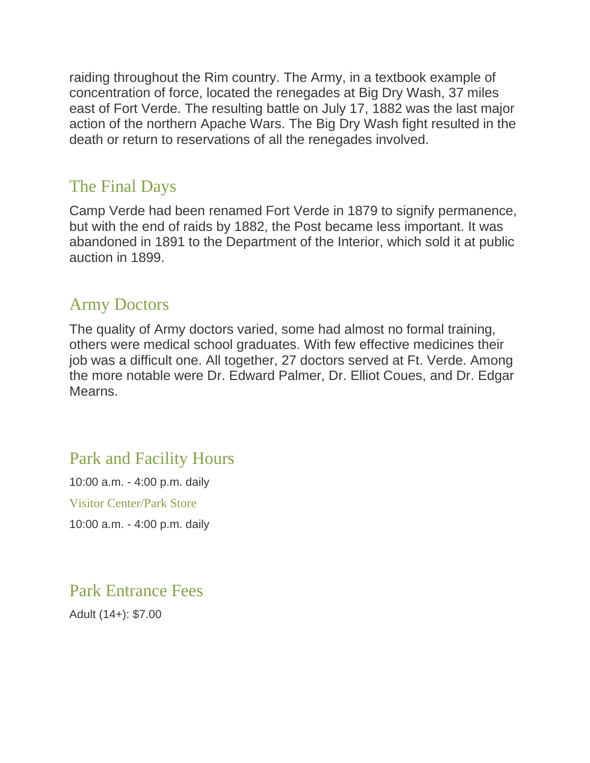raiding throughout the Rim country. The Army, in a textbook example of concentration of force, located the renegades at Big Dry Wash, 37 miles east of Fort Verde. The resulting battle on July 17, 1882 was the last major action of the northern Apache Wars. The Big Dry Wash fight resulted in the death or return to reservations of all the renegades involved.

### The Final Days

Camp Verde had been renamed Fort Verde in 1879 to signify permanence, but with the end of raids by 1882, the Post became less important. It was abandoned in 1891 to the Department of the Interior, which sold it at public auction in 1899.

#### Army Doctors

The quality of Army doctors varied, some had almost no formal training, others were medical school graduates. With few effective medicines their job was a difficult one. All together, 27 doctors served at Ft. Verde. Among the more notable were Dr. Edward Palmer, Dr. Elliot Coues, and Dr. Edgar Mearns.

# Park and Facility Hours

10:00 a.m. - 4:00 p.m. daily

Visitor Center/Park Store

10:00 a.m. - 4:00 p.m. daily

Park Entrance Fees

Adult (14+): \$7.00